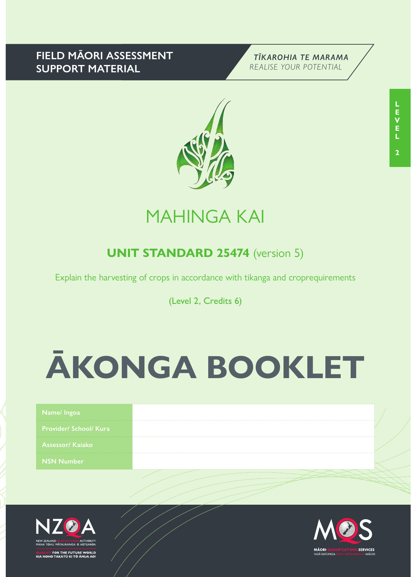# **FIELD MĀORI ASSESSMENT SUPPORT MATERIAL**





# MAHINGA KAI

# **UNIT STANDARD 25474** (version 5)

Explain the harvesting of crops in accordance with tikanga and croprequirements

(Level 2, Credits 6)

# **ĀKONGA BOOKLET**

| Name/Ingoa                    |  |
|-------------------------------|--|
| <b>Provider/ School/ Kura</b> |  |
| <b>Assessor/ Kaiako</b>       |  |
| NSN Number                    |  |
| .                             |  |



FOR THE FUTURE WORLD<br>O TAKATŪ KI TÕ ĀMUA AO!

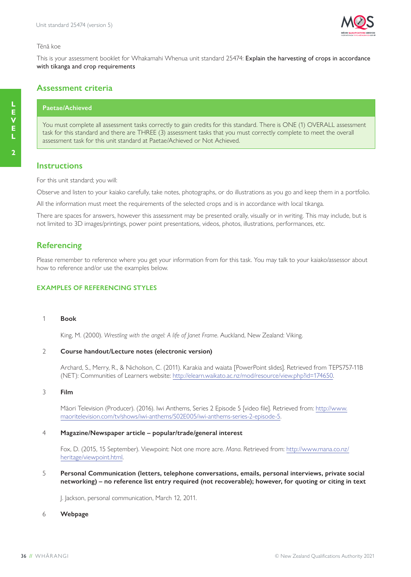

#### Tēnā koe

This is your assessment booklet for Whakamahi Whenua unit standard 25474: Explain the harvesting of crops in accordance with tikanga and crop requirements

# **Assessment criteria**

#### **Paetae/Achieved**

You must complete all assessment tasks correctly to gain credits for this standard. There is ONE (1) OVERALL assessment task for this standard and there are THREE (3) assessment tasks that you must correctly complete to meet the overall assessment task for this unit standard at Paetae/Achieved or Not Achieved.

#### **Instructions**

For this unit standard; you will:

Observe and listen to your kaiako carefully, take notes, photographs, or do illustrations as you go and keep them in a portfolio.

All the information must meet the requirements of the selected crops and is in accordance with local tikanga.

There are spaces for answers, however this assessment may be presented orally, visually or in writing. This may include, but is not limited to 3D images/printings, power point presentations, videos, photos, illustrations, performances, etc.

# **Referencing**

Please remember to reference where you get your information from for this task. You may talk to your kaiako/assessor about how to reference and/or use the examples below.

### **EXAMPLES OF REFERENCING STYLES**

#### 1 **Book**

King, M. (2000). *Wrestling with the angel: A life of Janet Frame*. Auckland, New Zealand: Viking.

#### 2 **Course handout/Lecture notes (electronic version)**

Archard, S., Merry, R., & Nicholson, C. (2011). Karakia and waiata [PowerPoint slides]. Retrieved from TEPS757-11B (NET): Communities of Learners website: http://elearn.waikato.ac.nz/mod/resource/view.php?id=174650.

#### 3 **Film**

Māori Television (Producer). (2016). Iwi Anthems, Series 2 Episode 5 [video file]. Retrieved from: http://www. maoritelevision.com/tv/shows/iwi-anthems/S02E005/iwi-anthems-series-2-episode-5.

#### 4 **Magazine/Newspaper article – popular/trade/general interest**

Fox, D. (2015, 15 September). Viewpoint: Not one more acre. *Mana*. Retrieved from: http://www.mana.co.nz/ heritage/viewpoint.html.

5 **Personal Communication (letters, telephone conversations, emails, personal interviews, private social networking) – no reference list entry required (not recoverable); however, for quoting or citing in text**

J. Jackson, personal communication, March 12, 2011.

#### 6 **Webpage**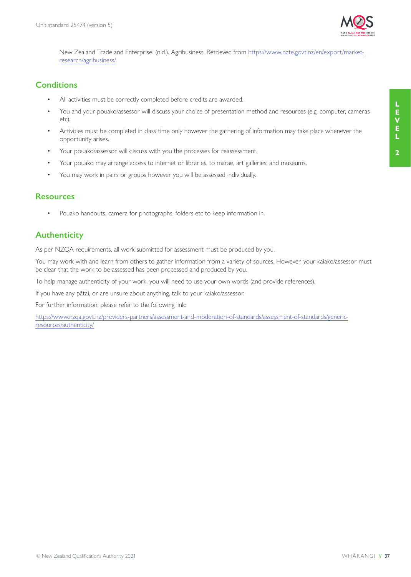

New Zealand Trade and Enterprise. (n.d.). Agribusiness. Retrieved from https://www.nzte.govt.nz/en/export/marketresearch/agribusiness/.

# **Conditions**

- All activities must be correctly completed before credits are awarded.
- You and your pouako/assessor will discuss your choice of presentation method and resources (e.g. computer, cameras etc).
- Activities must be completed in class time only however the gathering of information may take place whenever the opportunity arises.
- Your pouako/assessor will discuss with you the processes for reassessment.
- Your pouako may arrange access to internet or libraries, to marae, art galleries, and museums.
- You may work in pairs or groups however you will be assessed individually.

# **Resources**

• Pouako handouts, camera for photographs, folders etc to keep information in.

# **Authenticity**

As per NZQA requirements, all work submitted for assessment must be produced by you.

You may work with and learn from others to gather information from a variety of sources. However, your kaiako/assessor must be clear that the work to be assessed has been processed and produced by you.

To help manage authenticity of your work, you will need to use your own words (and provide references).

If you have any pātai, or are unsure about anything, talk to your kaiako/assessor.

For further information, please refer to the following link:

https://www.nzqa.govt.nz/providers-partners/assessment-and-moderation-of-standards/assessment-of-standards/genericresources/authenticity/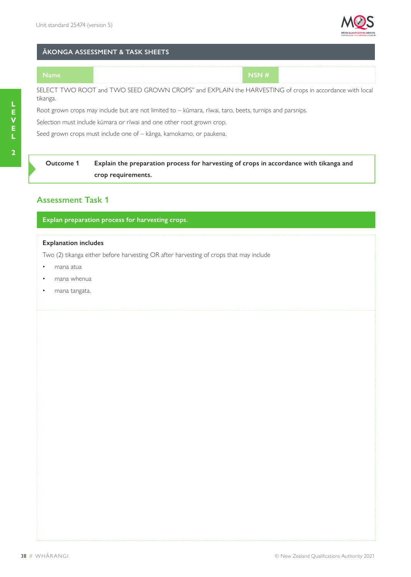

# **ĀKONGA ASSESSMENT & TASK SHEETS**

#### **Name NSN #**

SELECT TWO ROOT and TWO SEED GROWN CROPS" and EXPLAIN the HARVESTING of crops in accordance with local tikanga.

Root grown crops may include but are not limited to – kūmara, rīwai, taro, beets, turnips and parsnips.

Selection must include kūmara or rīwai and one other root grown crop.

Seed grown crops must include one of – kānga, kamokamo, or paukena.

# **Outcome 1 Explain the preparation process for harvesting of crops in accordance with tikanga and crop requirements.**

# **Assessment Task 1**

# **Explan preparation process for harvesting crops.**

#### **Explanation includes**

Two (2) tikanga either before harvesting OR after harvesting of crops that may include

- mana atua
- mana whenua
- mana tangata.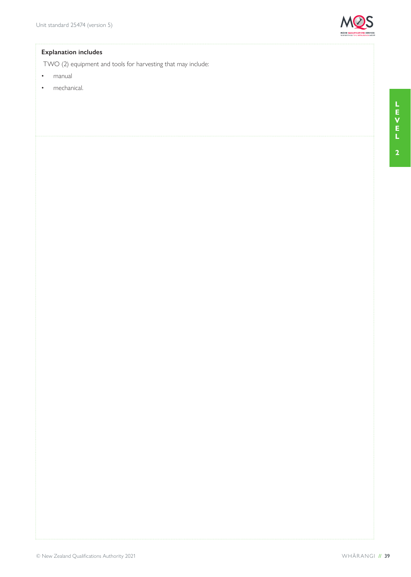

# **Explanation includes**

TWO (2) equipment and tools for harvesting that may include:

- manual
- mechanical.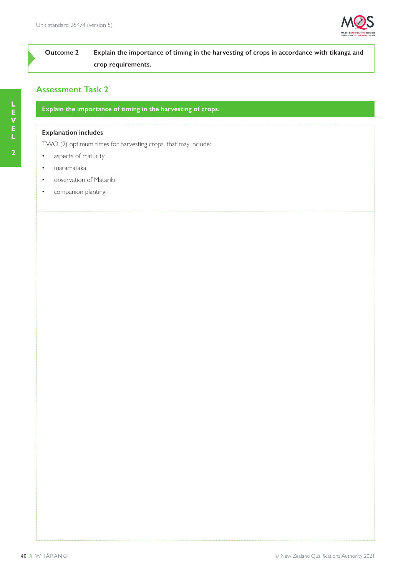

**Outcome 2 Explain the importance of timing in the harvesting of crops in accordance with tikanga and crop requirements.**

# **Assessment Task 2**

**Explain the importance of timing in the harvesting of crops.**

# **Explanation includes**

TWO (2) optimum times for harvesting crops, that may include:

- aspects of maturity
- maramataka
- observation of Matariki
- companion planting.

**2**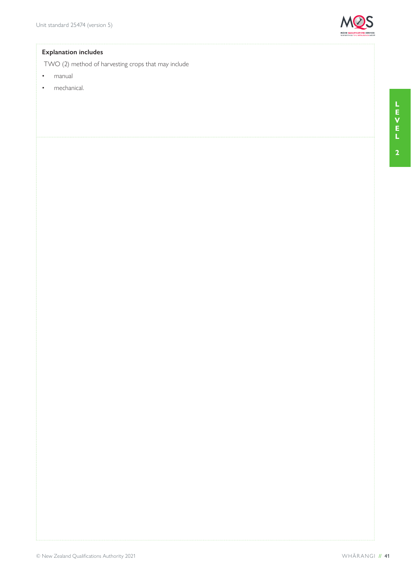

# **Explanation includes**

TWO (2) method of harvesting crops that may include

- manual
- mechanical.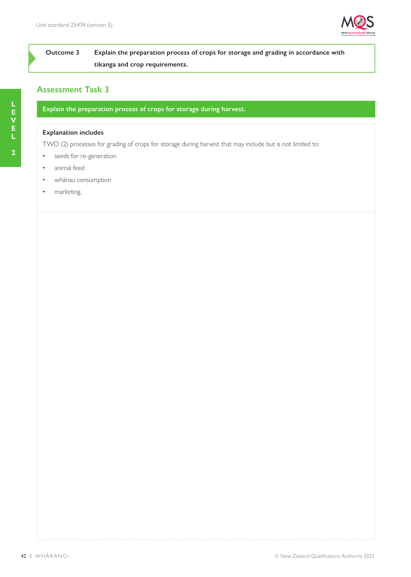

# **Outcome 3 Explain the preparation process of crops for storage and grading in accordance with tikanga and crop requirements.**

# **Assessment Task 3**

**Explain the preparation process of crops for storage during harvest.**

# **Explanation includes**

TWO (2) processes for grading of crops for storage during harvest that may include but is not limited to:

- seeds for re-generation
- animal feed
- whānau consumption
- marketing.

**2**